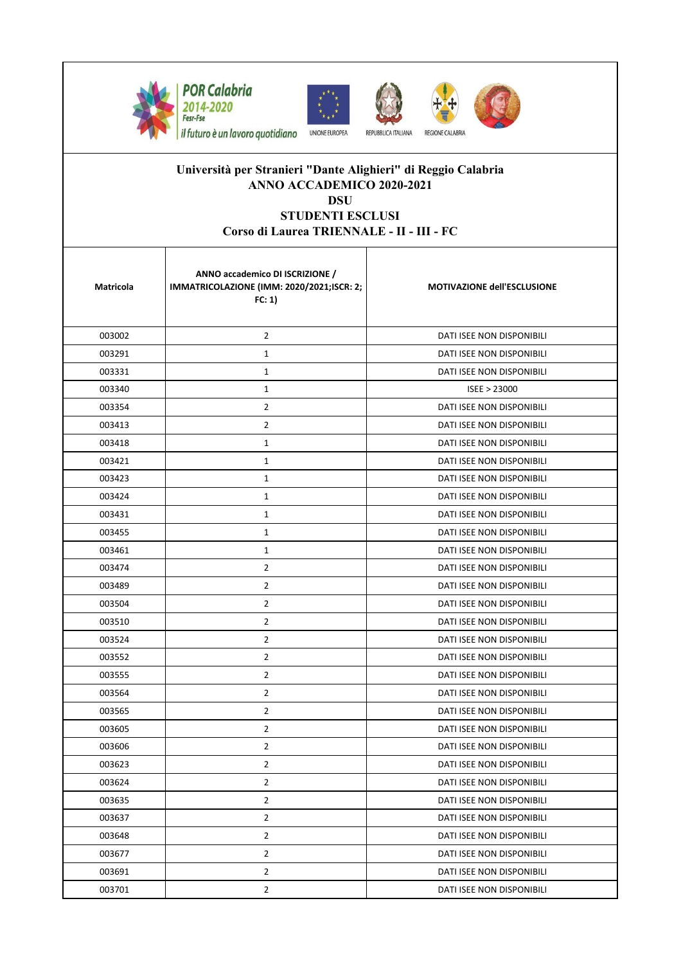







Il futuro è un lavoro quotidiano UNIONE EUROPEA

## **Università per Stranieri "Dante Alighieri" di Reggio Calabria ANNO ACCADEMICO 2020-2021 DSU**

## **STUDENTI ESCLUSI**

## **Corso di Laurea TRIENNALE - II - III - FC**

| Matricola | ANNO accademico DI ISCRIZIONE /<br>IMMATRICOLAZIONE (IMM: 2020/2021;ISCR: 2;<br>FC: 1) | <b>MOTIVAZIONE dell'ESCLUSIONE</b> |
|-----------|----------------------------------------------------------------------------------------|------------------------------------|
| 003002    | $\overline{2}$                                                                         | DATI ISEE NON DISPONIBILI          |
| 003291    | $\mathbf{1}$                                                                           | DATI ISEE NON DISPONIBILI          |
| 003331    | $\mathbf{1}$                                                                           | DATI ISEE NON DISPONIBILI          |
| 003340    | $\mathbf{1}$                                                                           | ISEE > 23000                       |
| 003354    | $\overline{2}$                                                                         | DATI ISEE NON DISPONIBILI          |
| 003413    | $\overline{2}$                                                                         | DATI ISEE NON DISPONIBILI          |
| 003418    | $1\,$                                                                                  | DATI ISEE NON DISPONIBILI          |
| 003421    | $\mathbf{1}$                                                                           | DATI ISEE NON DISPONIBILI          |
| 003423    | $\mathbf{1}$                                                                           | DATI ISEE NON DISPONIBILI          |
| 003424    | $\mathbf{1}$                                                                           | DATI ISEE NON DISPONIBILI          |
| 003431    | $\mathbf{1}$                                                                           | DATI ISEE NON DISPONIBILI          |
| 003455    | $\mathbf{1}$                                                                           | DATI ISEE NON DISPONIBILI          |
| 003461    | $\mathbf{1}$                                                                           | <b>DATI ISEE NON DISPONIBILI</b>   |
| 003474    | $\overline{2}$                                                                         | DATI ISEE NON DISPONIBILI          |
| 003489    | 2                                                                                      | DATI ISEE NON DISPONIBILI          |
| 003504    | $\overline{2}$                                                                         | DATI ISEE NON DISPONIBILI          |
| 003510    | $\overline{2}$                                                                         | DATI ISEE NON DISPONIBILI          |
| 003524    | $\overline{2}$                                                                         | DATI ISEE NON DISPONIBILI          |
| 003552    | $\overline{2}$                                                                         | DATI ISEE NON DISPONIBILI          |
| 003555    | 2                                                                                      | DATI ISEE NON DISPONIBILI          |
| 003564    | $\overline{2}$                                                                         | DATI ISEE NON DISPONIBILI          |
| 003565    | $\overline{2}$                                                                         | DATI ISEE NON DISPONIBILI          |
| 003605    | $\overline{2}$                                                                         | <b>DATI ISEE NON DISPONIBILI</b>   |
| 003606    | $\overline{2}$                                                                         | <b>DATI ISEE NON DISPONIBILI</b>   |
| 003623    | 2                                                                                      | DATI ISEE NON DISPONIBILI          |
| 003624    | $\overline{2}$                                                                         | DATI ISEE NON DISPONIBILI          |
| 003635    | $\overline{2}$                                                                         | DATI ISEE NON DISPONIBILI          |
| 003637    | $\overline{2}$                                                                         | DATI ISEE NON DISPONIBILI          |
| 003648    | $\overline{2}$                                                                         | <b>DATI ISEE NON DISPONIBILI</b>   |
| 003677    | $\overline{2}$                                                                         | DATI ISEE NON DISPONIBILI          |
| 003691    | $\overline{2}$                                                                         | DATI ISEE NON DISPONIBILI          |
| 003701    | $\overline{2}$                                                                         | DATI ISEE NON DISPONIBILI          |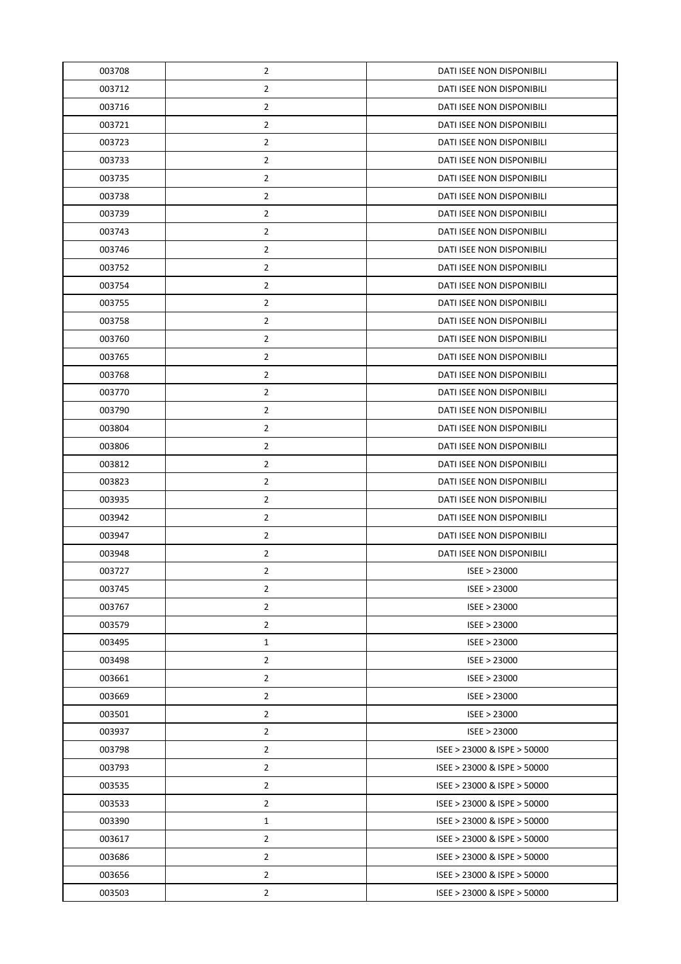| 003708 | $\overline{2}$ | DATI ISEE NON DISPONIBILI   |
|--------|----------------|-----------------------------|
| 003712 | $\overline{2}$ | DATI ISEE NON DISPONIBILI   |
| 003716 | $\overline{2}$ | DATI ISEE NON DISPONIBILI   |
| 003721 | $\overline{2}$ | DATI ISEE NON DISPONIBILI   |
| 003723 | $\overline{2}$ | DATI ISEE NON DISPONIBILI   |
| 003733 | $\overline{2}$ | DATI ISEE NON DISPONIBILI   |
| 003735 | $\overline{2}$ | DATI ISEE NON DISPONIBILI   |
| 003738 | $\overline{2}$ | DATI ISEE NON DISPONIBILI   |
| 003739 | $\overline{2}$ | DATI ISEE NON DISPONIBILI   |
| 003743 | $\overline{2}$ | DATI ISEE NON DISPONIBILI   |
| 003746 | $\overline{2}$ | DATI ISEE NON DISPONIBILI   |
| 003752 | $\overline{2}$ | DATI ISEE NON DISPONIBILI   |
| 003754 | $\overline{2}$ | DATI ISEE NON DISPONIBILI   |
| 003755 | $\overline{2}$ | DATI ISEE NON DISPONIBILI   |
| 003758 | $\overline{2}$ | DATI ISEE NON DISPONIBILI   |
| 003760 | $\overline{2}$ | DATI ISEE NON DISPONIBILI   |
| 003765 | $\overline{2}$ | DATI ISEE NON DISPONIBILI   |
| 003768 | $\overline{2}$ | DATI ISEE NON DISPONIBILI   |
| 003770 | $\overline{2}$ | DATI ISEE NON DISPONIBILI   |
| 003790 | $\overline{2}$ | DATI ISEE NON DISPONIBILI   |
| 003804 | $\overline{2}$ | DATI ISEE NON DISPONIBILI   |
| 003806 | $\overline{2}$ | DATI ISEE NON DISPONIBILI   |
| 003812 | $\overline{2}$ | DATI ISEE NON DISPONIBILI   |
| 003823 | $\overline{2}$ | DATI ISEE NON DISPONIBILI   |
| 003935 | $\overline{2}$ | DATI ISEE NON DISPONIBILI   |
| 003942 | $\overline{2}$ | DATI ISEE NON DISPONIBILI   |
| 003947 | $\overline{2}$ | DATI ISEE NON DISPONIBILI   |
| 003948 | $\overline{2}$ | DATI ISEE NON DISPONIBILI   |
| 003727 | $\overline{2}$ | ISEE > 23000                |
| 003745 | $\overline{2}$ | ISEE > 23000                |
| 003767 | $\overline{2}$ | ISEE > 23000                |
| 003579 | $\overline{2}$ | ISEE > 23000                |
| 003495 | $\mathbf{1}$   | ISEE > 23000                |
| 003498 | $\overline{2}$ | ISEE > 23000                |
| 003661 | $\overline{2}$ | ISEE > 23000                |
| 003669 | $\overline{2}$ | ISEE > 23000                |
| 003501 | $\overline{2}$ | ISEE > 23000                |
| 003937 | $\overline{2}$ | ISEE > 23000                |
| 003798 | $\overline{2}$ | ISEE > 23000 & ISPE > 50000 |
| 003793 | $\overline{2}$ | ISEE > 23000 & ISPE > 50000 |
| 003535 | $\overline{2}$ | ISEE > 23000 & ISPE > 50000 |
| 003533 | $\overline{2}$ | ISEE > 23000 & ISPE > 50000 |
| 003390 | $\mathbf{1}$   | ISEE > 23000 & ISPE > 50000 |
| 003617 | $\overline{2}$ | ISEE > 23000 & ISPE > 50000 |
| 003686 | $\overline{2}$ | ISEE > 23000 & ISPE > 50000 |
| 003656 | $\overline{2}$ | ISEE > 23000 & ISPE > 50000 |
| 003503 | $\overline{2}$ | ISEE > 23000 & ISPE > 50000 |